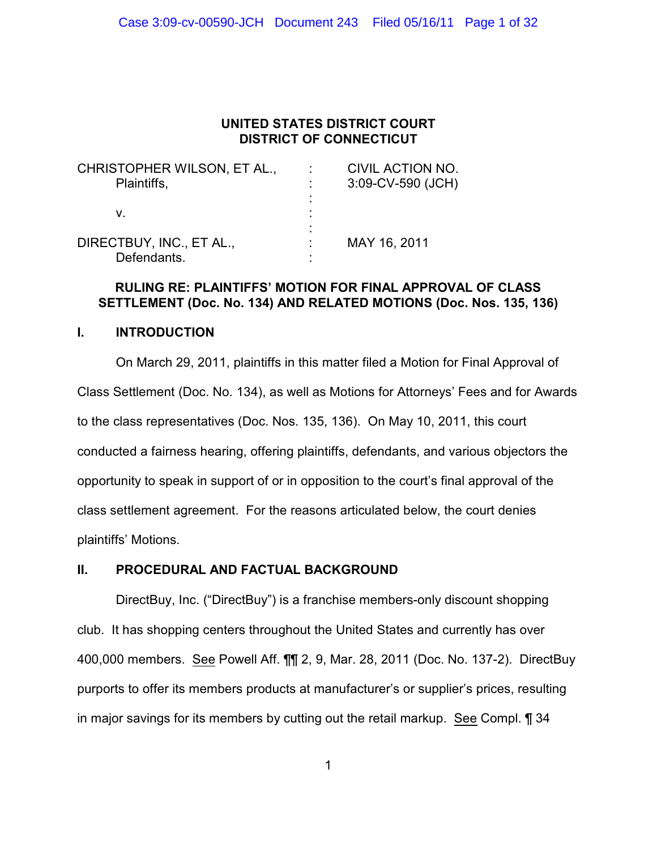# **UNITED STATES DISTRICT COURT DISTRICT OF CONNECTICUT**

| CHRISTOPHER WILSON, ET AL., | <b>CIVIL ACTION NO.</b> |
|-----------------------------|-------------------------|
| Plaintiffs,                 | 3:09-CV-590 (JCH)       |
|                             |                         |
| V.                          |                         |
|                             |                         |
| DIRECTBUY, INC., ET AL.,    | MAY 16, 2011            |
| Defendants.                 |                         |

# **RULING RE: PLAINTIFFS' MOTION FOR FINAL APPROVAL OF CLASS SETTLEMENT (Doc. No. 134) AND RELATED MOTIONS (Doc. Nos. 135, 136)**

# **I. INTRODUCTION**

On March 29, 2011, plaintiffs in this matter filed a Motion for Final Approval of Class Settlement (Doc. No. 134), as well as Motions for Attorneys' Fees and for Awards to the class representatives (Doc. Nos. 135, 136). On May 10, 2011, this court conducted a fairness hearing, offering plaintiffs, defendants, and various objectors the opportunity to speak in support of or in opposition to the court's final approval of the class settlement agreement. For the reasons articulated below, the court denies plaintiffs' Motions.

# **II. PROCEDURAL AND FACTUAL BACKGROUND**

DirectBuy, Inc. ("DirectBuy") is a franchise members-only discount shopping club. It has shopping centers throughout the United States and currently has over 400,000 members. See Powell Aff. ¶¶ 2, 9, Mar. 28, 2011 (Doc. No. 137-2). DirectBuy purports to offer its members products at manufacturer's or supplier's prices, resulting in major savings for its members by cutting out the retail markup. See Compl. ¶ 34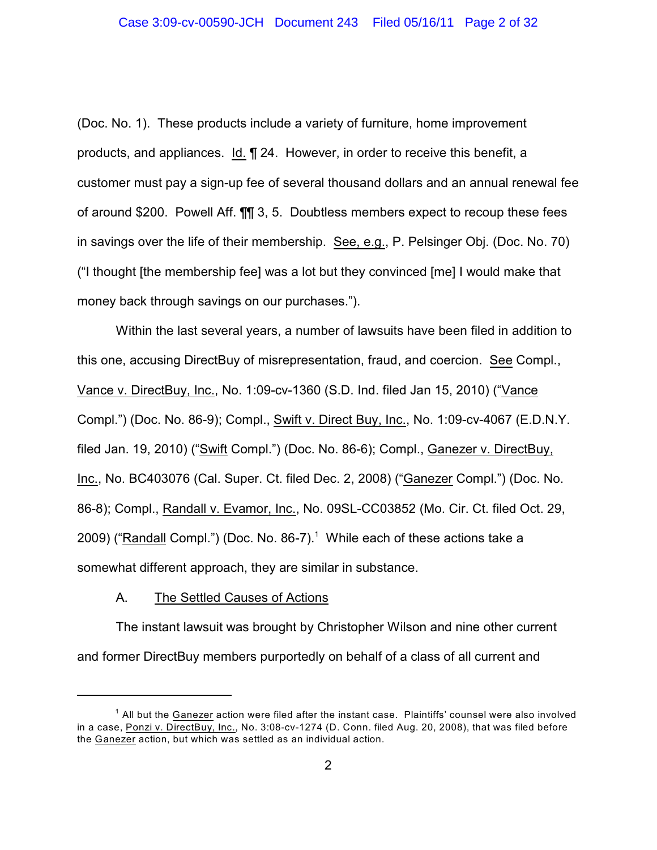(Doc. No. 1). These products include a variety of furniture, home improvement products, and appliances. Id. ¶ 24. However, in order to receive this benefit, a customer must pay a sign-up fee of several thousand dollars and an annual renewal fee of around \$200. Powell Aff. ¶¶ 3, 5. Doubtless members expect to recoup these fees in savings over the life of their membership. See, e.g., P. Pelsinger Obj. (Doc. No. 70) ("I thought [the membership fee] was a lot but they convinced [me] I would make that money back through savings on our purchases.").

Within the last several years, a number of lawsuits have been filed in addition to this one, accusing DirectBuy of misrepresentation, fraud, and coercion. See Compl., Vance v. DirectBuy, Inc., No. 1:09-cv-1360 (S.D. Ind. filed Jan 15, 2010) ("Vance Compl.") (Doc. No. 86-9); Compl., Swift v. Direct Buy, Inc., No. 1:09-cv-4067 (E.D.N.Y. filed Jan. 19, 2010) ("Swift Compl.") (Doc. No. 86-6); Compl., Ganezer v. DirectBuy, Inc., No. BC403076 (Cal. Super. Ct. filed Dec. 2, 2008) ("Ganezer Compl.") (Doc. No. 86-8); Compl., Randall v. Evamor, Inc., No. 09SL-CC03852 (Mo. Cir. Ct. filed Oct. 29, 2009) ("Randall Compl.") (Doc. No.  $86-7$ ).<sup>1</sup> While each of these actions take a somewhat different approach, they are similar in substance.

## A. The Settled Causes of Actions

The instant lawsuit was brought by Christopher Wilson and nine other current and former DirectBuy members purportedly on behalf of a class of all current and

 $^1$  All but the  $\overline{\text{Ganezer}}$  action were filed after the instant case. Plaintiffs' counsel were also involved in a case, Ponzi v. DirectBuy, Inc., No. 3:08-cv-1274 (D. Conn. filed Aug. 20, 2008), that was filed before the Ganezer action, but which was settled as an individual action.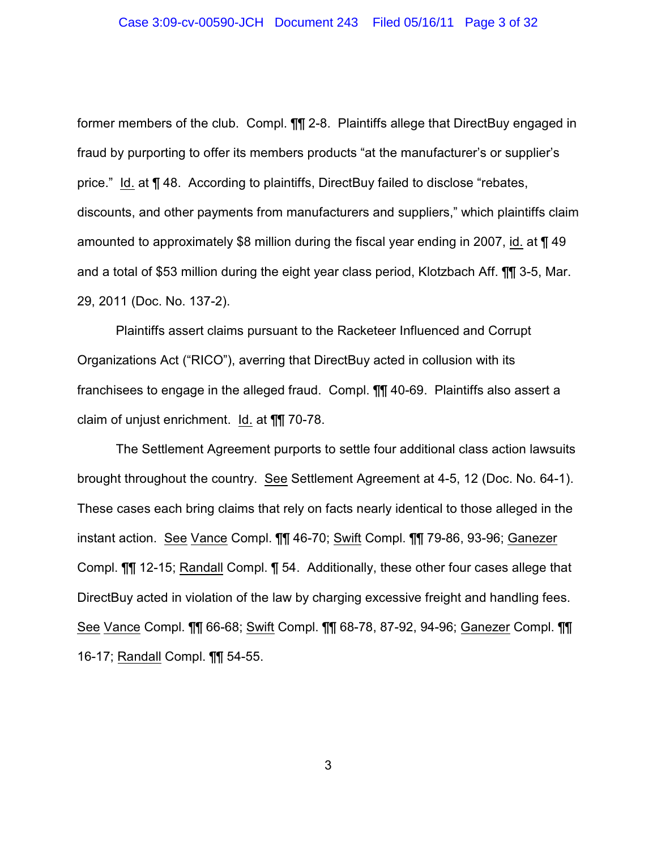#### Case 3:09-cv-00590-JCH Document 243 Filed 05/16/11 Page 3 of 32

former members of the club. Compl. ¶¶ 2-8. Plaintiffs allege that DirectBuy engaged in fraud by purporting to offer its members products "at the manufacturer's or supplier's price." Id. at ¶ 48. According to plaintiffs, DirectBuy failed to disclose "rebates, discounts, and other payments from manufacturers and suppliers," which plaintiffs claim amounted to approximately \$8 million during the fiscal year ending in 2007, id. at ¶ 49 and a total of \$53 million during the eight year class period, Klotzbach Aff. ¶¶ 3-5, Mar. 29, 2011 (Doc. No. 137-2).

Plaintiffs assert claims pursuant to the Racketeer Influenced and Corrupt Organizations Act ("RICO"), averring that DirectBuy acted in collusion with its franchisees to engage in the alleged fraud. Compl. ¶¶ 40-69. Plaintiffs also assert a claim of unjust enrichment. Id. at ¶¶ 70-78.

The Settlement Agreement purports to settle four additional class action lawsuits brought throughout the country. See Settlement Agreement at 4-5, 12 (Doc. No. 64-1). These cases each bring claims that rely on facts nearly identical to those alleged in the instant action. See Vance Compl. ¶¶ 46-70; Swift Compl. ¶¶ 79-86, 93-96; Ganezer Compl. ¶¶ 12-15; Randall Compl. ¶ 54. Additionally, these other four cases allege that DirectBuy acted in violation of the law by charging excessive freight and handling fees. See Vance Compl. ¶¶ 66-68; Swift Compl. ¶¶ 68-78, 87-92, 94-96; Ganezer Compl. ¶¶ 16-17; Randall Compl. ¶¶ 54-55.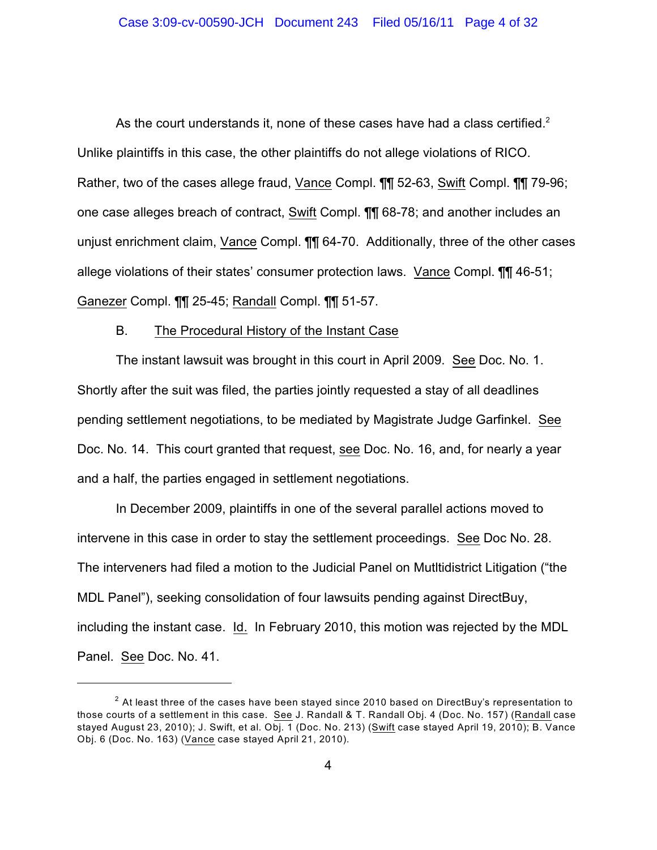As the court understands it, none of these cases have had a class certified. $2$ Unlike plaintiffs in this case, the other plaintiffs do not allege violations of RICO. Rather, two of the cases allege fraud, Vance Compl. ¶¶ 52-63, Swift Compl. ¶¶ 79-96; one case alleges breach of contract, Swift Compl. ¶¶ 68-78; and another includes an unjust enrichment claim, Vance Compl. ¶¶ 64-70. Additionally, three of the other cases allege violations of their states' consumer protection laws. Vance Compl. ¶¶ 46-51; Ganezer Compl. ¶¶ 25-45; Randall Compl. ¶¶ 51-57.

### B. The Procedural History of the Instant Case

The instant lawsuit was brought in this court in April 2009. See Doc. No. 1. Shortly after the suit was filed, the parties jointly requested a stay of all deadlines pending settlement negotiations, to be mediated by Magistrate Judge Garfinkel. See Doc. No. 14. This court granted that request, see Doc. No. 16, and, for nearly a year and a half, the parties engaged in settlement negotiations.

In December 2009, plaintiffs in one of the several parallel actions moved to intervene in this case in order to stay the settlement proceedings. See Doc No. 28. The interveners had filed a motion to the Judicial Panel on Mutltidistrict Litigation ("the MDL Panel"), seeking consolidation of four lawsuits pending against DirectBuy, including the instant case. Id. In February 2010, this motion was rejected by the MDL Panel. See Doc. No. 41.

 $^{\text{2}}$  At least three of the cases have been stayed since 2010 based on DirectBuy's representation to those courts of a settlement in this case. See J. Randall & T. Randall Obj. 4 (Doc. No. 157) (Randall case stayed August 23, 2010); J. Swift, et al. Obj. 1 (Doc. No. 213) (Swift case stayed April 19, 2010); B. Vance Obj. 6 (Doc. No. 163) (Vance case stayed April 21, 2010).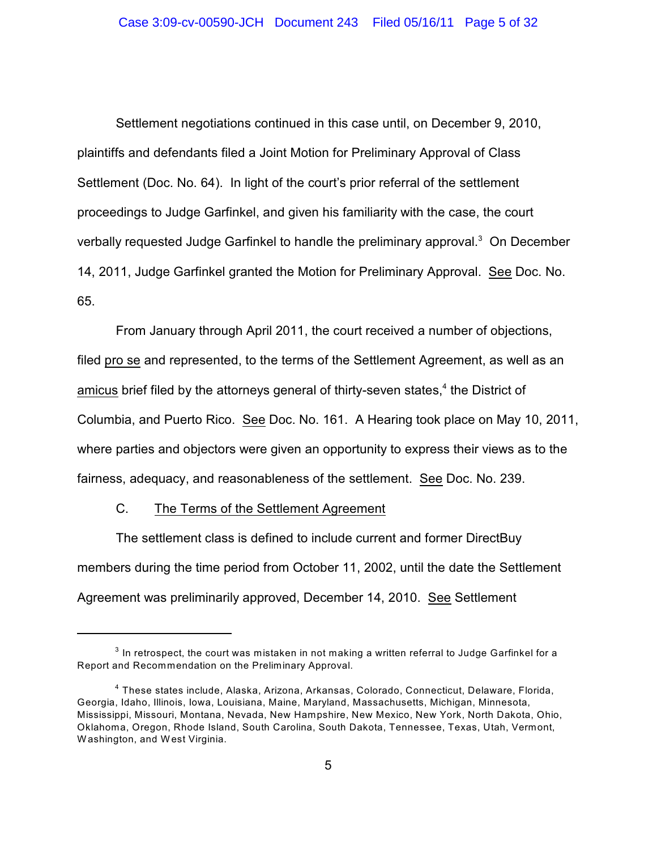Settlement negotiations continued in this case until, on December 9, 2010, plaintiffs and defendants filed a Joint Motion for Preliminary Approval of Class Settlement (Doc. No. 64). In light of the court's prior referral of the settlement proceedings to Judge Garfinkel, and given his familiarity with the case, the court verbally requested Judge Garfinkel to handle the preliminary approval.<sup>3</sup> On December 14, 2011, Judge Garfinkel granted the Motion for Preliminary Approval. See Doc. No. 65.

From January through April 2011, the court received a number of objections, filed pro se and represented, to the terms of the Settlement Agreement, as well as an amicus brief filed by the attorneys general of thirty-seven states, $4$  the District of Columbia, and Puerto Rico. See Doc. No. 161. A Hearing took place on May 10, 2011, where parties and objectors were given an opportunity to express their views as to the fairness, adequacy, and reasonableness of the settlement. See Doc. No. 239.

# C. The Terms of the Settlement Agreement

The settlement class is defined to include current and former DirectBuy members during the time period from October 11, 2002, until the date the Settlement Agreement was preliminarily approved, December 14, 2010. See Settlement

 $^{\rm 3}$  In retrospect, the court was mistaken in not making a written referral to Judge Garfinkel for a Report and Recommendation on the Preliminary Approval.

<sup>&</sup>lt;sup>4</sup> These states include, Alaska, Arizona, Arkansas, Colorado, Connecticut, Delaware, Florida, Georgia, Idaho, Illinois, Iowa, Louisiana, Maine, Maryland, Massachusetts, Michigan, Minnesota, Mississippi, Missouri, Montana, Nevada, New Hampshire, New Mexico, New York, North Dakota, Ohio, Oklahoma, Oregon, Rhode Island, South Carolina, South Dakota, Tennessee, Texas, Utah, Vermont, W ashington, and W est Virginia.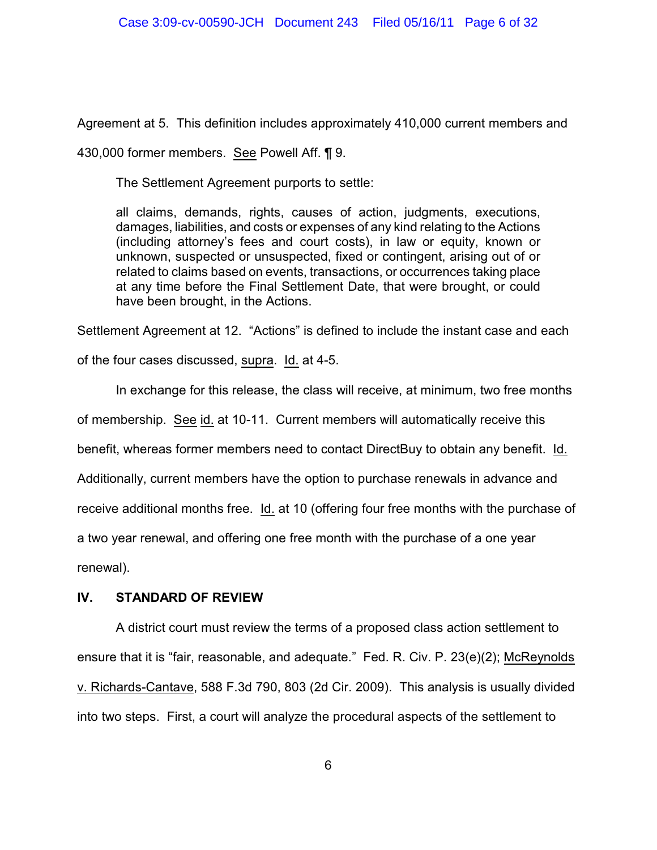Agreement at 5. This definition includes approximately 410,000 current members and

430,000 former members. See Powell Aff. ¶ 9.

The Settlement Agreement purports to settle:

all claims, demands, rights, causes of action, judgments, executions, damages, liabilities, and costs or expenses of any kind relating to the Actions (including attorney's fees and court costs), in law or equity, known or unknown, suspected or unsuspected, fixed or contingent, arising out of or related to claims based on events, transactions, or occurrences taking place at any time before the Final Settlement Date, that were brought, or could have been brought, in the Actions.

Settlement Agreement at 12. "Actions" is defined to include the instant case and each

of the four cases discussed, supra. Id. at 4-5.

In exchange for this release, the class will receive, at minimum, two free months of membership. See id. at 10-11. Current members will automatically receive this benefit, whereas former members need to contact DirectBuy to obtain any benefit. Id. Additionally, current members have the option to purchase renewals in advance and receive additional months free. Id. at 10 (offering four free months with the purchase of a two year renewal, and offering one free month with the purchase of a one year

renewal).

# **IV. STANDARD OF REVIEW**

A district court must review the terms of a proposed class action settlement to ensure that it is "fair, reasonable, and adequate." Fed. R. Civ. P. 23(e)(2); McReynolds v. Richards-Cantave, 588 F.3d 790, 803 (2d Cir. 2009). This analysis is usually divided into two steps. First, a court will analyze the procedural aspects of the settlement to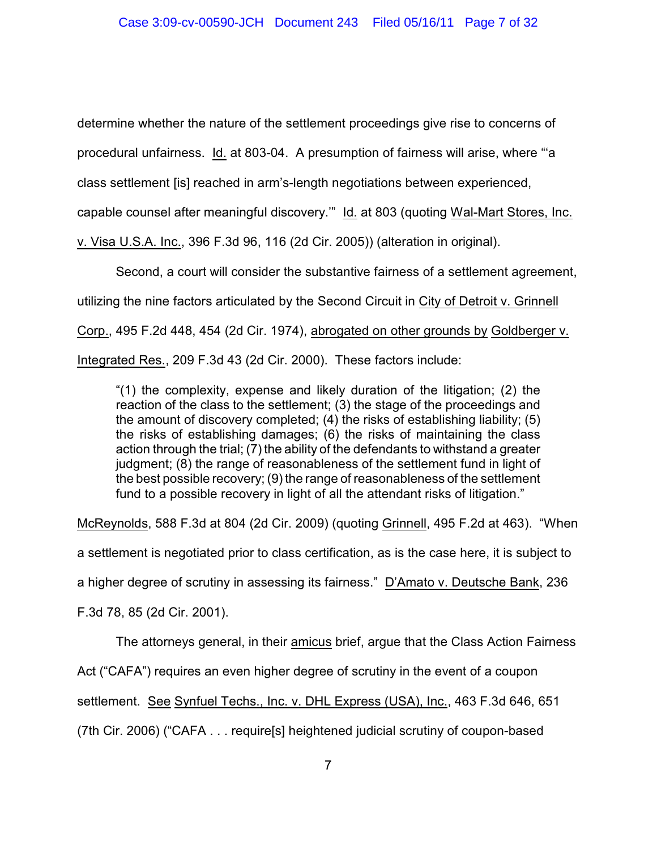determine whether the nature of the settlement proceedings give rise to concerns of

procedural unfairness. Id. at 803-04. A presumption of fairness will arise, where "'a

class settlement [is] reached in arm's-length negotiations between experienced,

capable counsel after meaningful discovery.'" Id. at 803 (quoting Wal-Mart Stores, Inc.

v. Visa U.S.A. Inc., 396 F.3d 96, 116 (2d Cir. 2005)) (alteration in original).

Second, a court will consider the substantive fairness of a settlement agreement, utilizing the nine factors articulated by the Second Circuit in City of Detroit v. Grinnell Corp., 495 F.2d 448, 454 (2d Cir. 1974), abrogated on other grounds by Goldberger v. Integrated Res., 209 F.3d 43 (2d Cir. 2000). These factors include:

"(1) the complexity, expense and likely duration of the litigation; (2) the reaction of the class to the settlement; (3) the stage of the proceedings and the amount of discovery completed; (4) the risks of establishing liability; (5) the risks of establishing damages; (6) the risks of maintaining the class action through the trial; (7) the ability of the defendants to withstand a greater judgment; (8) the range of reasonableness of the settlement fund in light of the best possible recovery; (9) the range of reasonableness of the settlement fund to a possible recovery in light of all the attendant risks of litigation."

McReynolds, 588 F.3d at 804 (2d Cir. 2009) (quoting Grinnell, 495 F.2d at 463). "When

a settlement is negotiated prior to class certification, as is the case here, it is subject to

a higher degree of scrutiny in assessing its fairness." D'Amato v. Deutsche Bank, 236

F.3d 78, 85 (2d Cir. 2001).

The attorneys general, in their amicus brief, argue that the Class Action Fairness

Act ("CAFA") requires an even higher degree of scrutiny in the event of a coupon

settlement. See Synfuel Techs., Inc. v. DHL Express (USA), Inc., 463 F.3d 646, 651

(7th Cir. 2006) ("CAFA . . . require[s] heightened judicial scrutiny of coupon-based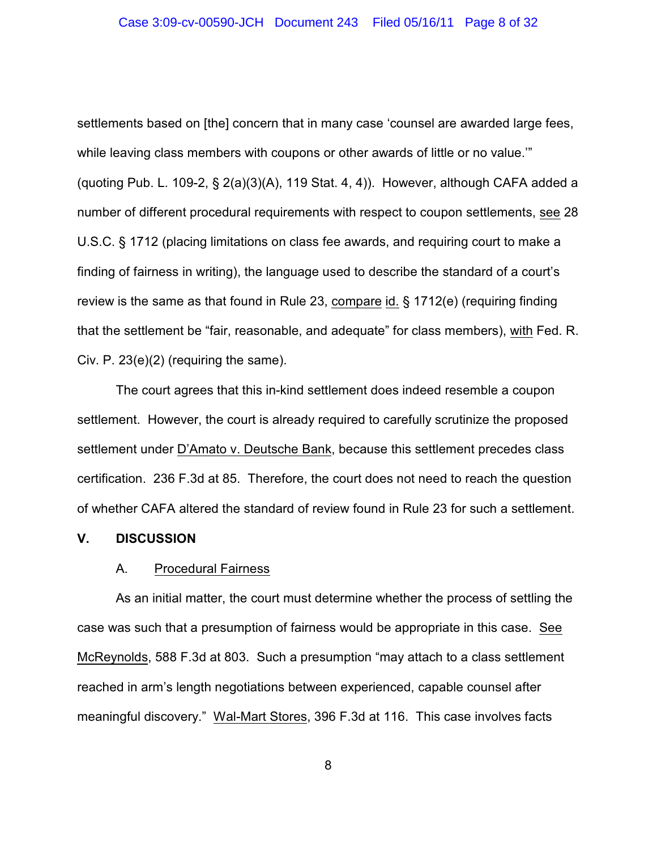settlements based on [the] concern that in many case 'counsel are awarded large fees, while leaving class members with coupons or other awards of little or no value."" (quoting Pub. L. 109-2, § 2(a)(3)(A), 119 Stat. 4, 4)). However, although CAFA added a number of different procedural requirements with respect to coupon settlements, see 28 U.S.C. § 1712 (placing limitations on class fee awards, and requiring court to make a finding of fairness in writing), the language used to describe the standard of a court's review is the same as that found in Rule 23, compare id. § 1712(e) (requiring finding that the settlement be "fair, reasonable, and adequate" for class members), with Fed. R. Civ. P. 23(e)(2) (requiring the same).

The court agrees that this in-kind settlement does indeed resemble a coupon settlement. However, the court is already required to carefully scrutinize the proposed settlement under D'Amato v. Deutsche Bank, because this settlement precedes class certification. 236 F.3d at 85. Therefore, the court does not need to reach the question of whether CAFA altered the standard of review found in Rule 23 for such a settlement.

### **V. DISCUSSION**

## A. Procedural Fairness

As an initial matter, the court must determine whether the process of settling the case was such that a presumption of fairness would be appropriate in this case. See McReynolds, 588 F.3d at 803. Such a presumption "may attach to a class settlement reached in arm's length negotiations between experienced, capable counsel after meaningful discovery." Wal-Mart Stores, 396 F.3d at 116. This case involves facts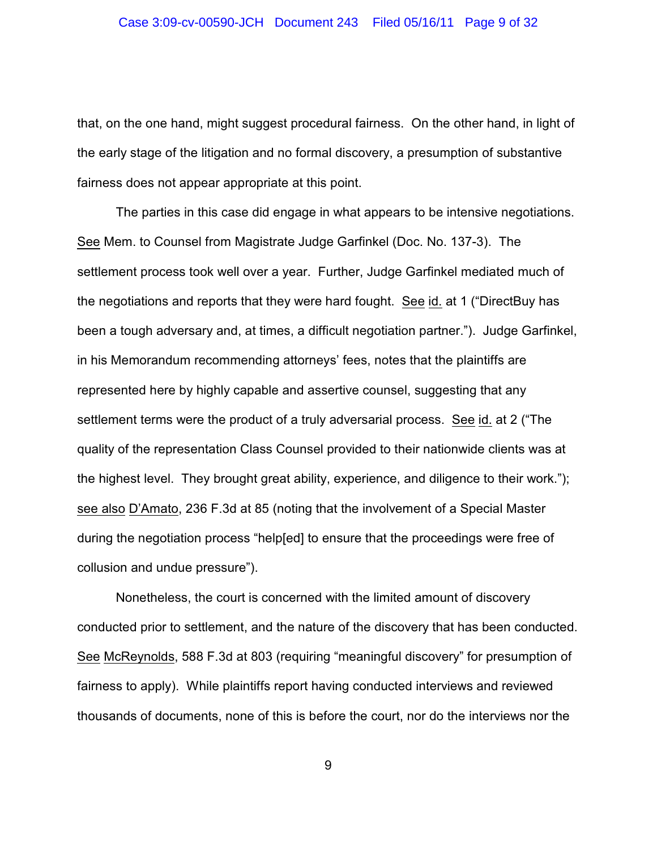that, on the one hand, might suggest procedural fairness. On the other hand, in light of the early stage of the litigation and no formal discovery, a presumption of substantive fairness does not appear appropriate at this point.

The parties in this case did engage in what appears to be intensive negotiations. See Mem. to Counsel from Magistrate Judge Garfinkel (Doc. No. 137-3). The settlement process took well over a year. Further, Judge Garfinkel mediated much of the negotiations and reports that they were hard fought. See id. at 1 ("DirectBuy has been a tough adversary and, at times, a difficult negotiation partner."). Judge Garfinkel, in his Memorandum recommending attorneys' fees, notes that the plaintiffs are represented here by highly capable and assertive counsel, suggesting that any settlement terms were the product of a truly adversarial process. See id. at 2 ("The quality of the representation Class Counsel provided to their nationwide clients was at the highest level. They brought great ability, experience, and diligence to their work."); see also D'Amato, 236 F.3d at 85 (noting that the involvement of a Special Master during the negotiation process "help[ed] to ensure that the proceedings were free of collusion and undue pressure").

Nonetheless, the court is concerned with the limited amount of discovery conducted prior to settlement, and the nature of the discovery that has been conducted. See McReynolds, 588 F.3d at 803 (requiring "meaningful discovery" for presumption of fairness to apply). While plaintiffs report having conducted interviews and reviewed thousands of documents, none of this is before the court, nor do the interviews nor the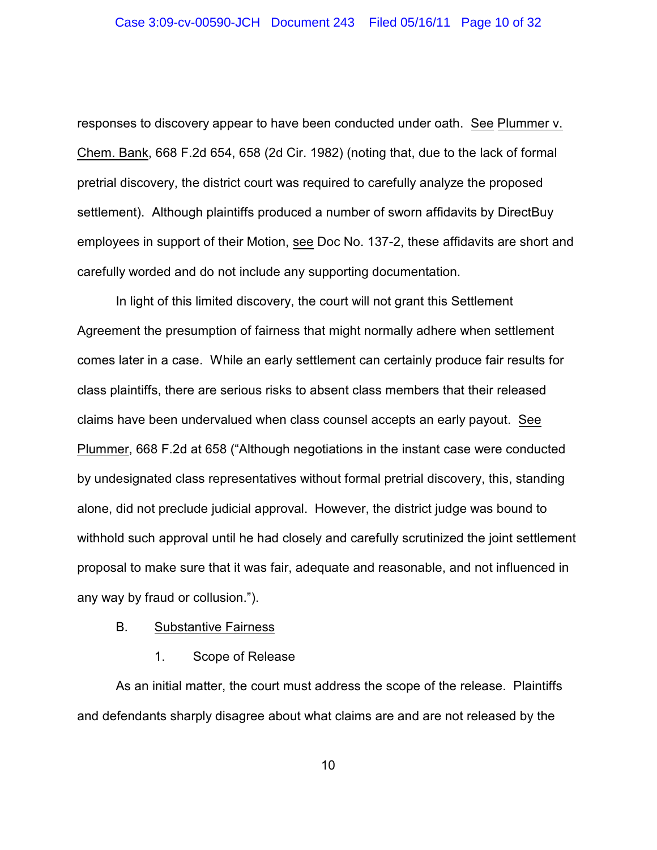responses to discovery appear to have been conducted under oath. See Plummer v. Chem. Bank, 668 F.2d 654, 658 (2d Cir. 1982) (noting that, due to the lack of formal pretrial discovery, the district court was required to carefully analyze the proposed settlement). Although plaintiffs produced a number of sworn affidavits by DirectBuy employees in support of their Motion, see Doc No. 137-2, these affidavits are short and carefully worded and do not include any supporting documentation.

In light of this limited discovery, the court will not grant this Settlement Agreement the presumption of fairness that might normally adhere when settlement comes later in a case. While an early settlement can certainly produce fair results for class plaintiffs, there are serious risks to absent class members that their released claims have been undervalued when class counsel accepts an early payout. See Plummer, 668 F.2d at 658 ("Although negotiations in the instant case were conducted by undesignated class representatives without formal pretrial discovery, this, standing alone, did not preclude judicial approval. However, the district judge was bound to withhold such approval until he had closely and carefully scrutinized the joint settlement proposal to make sure that it was fair, adequate and reasonable, and not influenced in any way by fraud or collusion.").

#### B. Substantive Fairness

1. Scope of Release

As an initial matter, the court must address the scope of the release. Plaintiffs and defendants sharply disagree about what claims are and are not released by the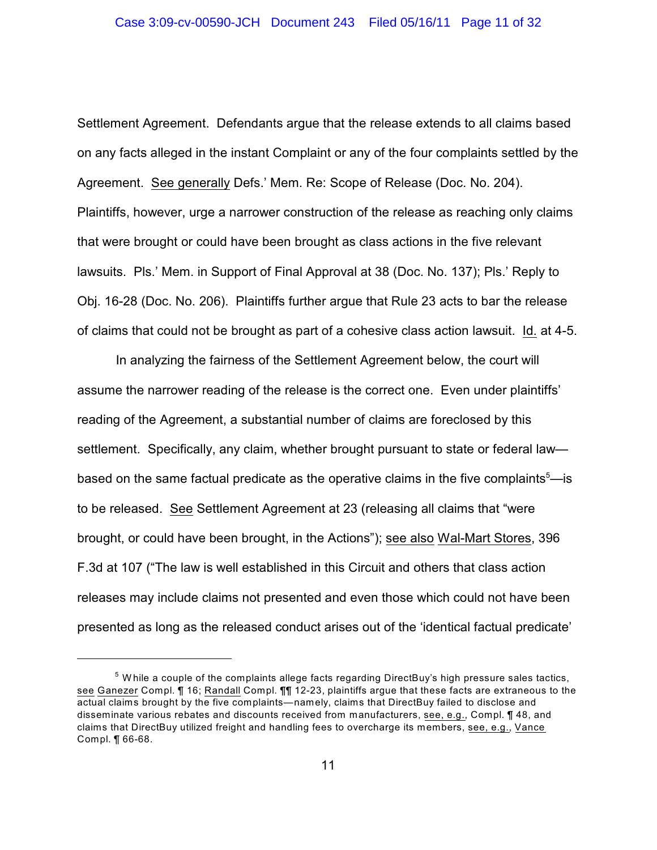Settlement Agreement. Defendants argue that the release extends to all claims based on any facts alleged in the instant Complaint or any of the four complaints settled by the Agreement. See generally Defs.' Mem. Re: Scope of Release (Doc. No. 204). Plaintiffs, however, urge a narrower construction of the release as reaching only claims that were brought or could have been brought as class actions in the five relevant lawsuits. Pls.' Mem. in Support of Final Approval at 38 (Doc. No. 137); Pls.' Reply to Obj. 16-28 (Doc. No. 206). Plaintiffs further argue that Rule 23 acts to bar the release of claims that could not be brought as part of a cohesive class action lawsuit. Id. at 4-5.

In analyzing the fairness of the Settlement Agreement below, the court will assume the narrower reading of the release is the correct one. Even under plaintiffs' reading of the Agreement, a substantial number of claims are foreclosed by this settlement. Specifically, any claim, whether brought pursuant to state or federal law based on the same factual predicate as the operative claims in the five complaints  $\epsilon$ - is to be released. See Settlement Agreement at 23 (releasing all claims that "were brought, or could have been brought, in the Actions"); see also Wal-Mart Stores, 396 F.3d at 107 ("The law is well established in this Circuit and others that class action releases may include claims not presented and even those which could not have been presented as long as the released conduct arises out of the 'identical factual predicate'

 $^5$  While a couple of the complaints allege facts regarding DirectBuy's high pressure sales tactics, see Ganezer Compl. ¶ 16; Randall Compl. ¶¶ 12-23, plaintiffs argue that these facts are extraneous to the actual claims brought by the five complaints—namely, claims that DirectBuy failed to disclose and disseminate various rebates and discounts received from manufacturers, see, e.g., Compl. ¶ 48, and claims that DirectBuy utilized freight and handling fees to overcharge its members, see, e.g., Vance Compl. ¶ 66-68.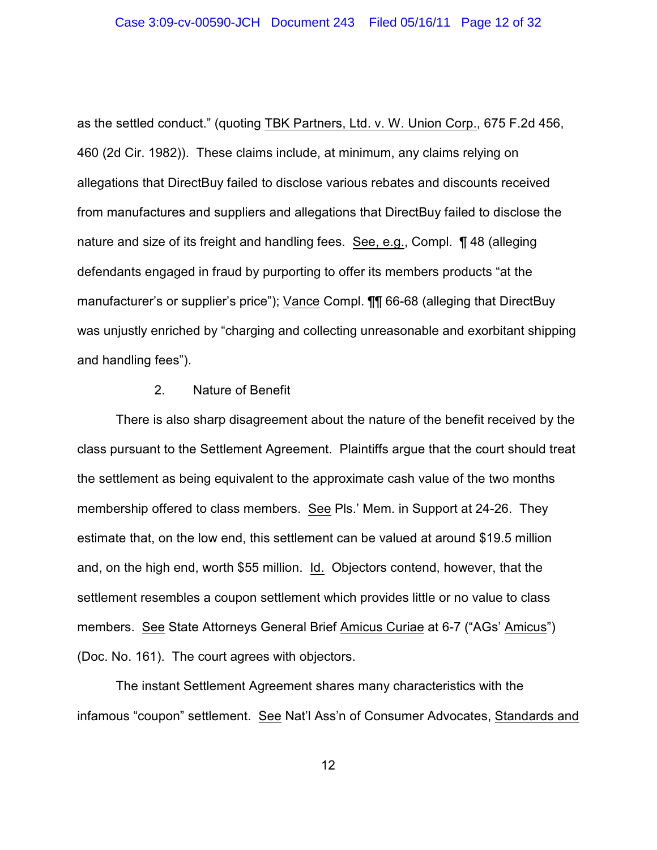as the settled conduct." (quoting TBK Partners, Ltd. v. W. Union Corp., 675 F.2d 456, 460 (2d Cir. 1982)). These claims include, at minimum, any claims relying on allegations that DirectBuy failed to disclose various rebates and discounts received from manufactures and suppliers and allegations that DirectBuy failed to disclose the nature and size of its freight and handling fees. See, e.g., Compl. ¶ 48 (alleging defendants engaged in fraud by purporting to offer its members products "at the manufacturer's or supplier's price"); Vance Compl. ¶¶ 66-68 (alleging that DirectBuy was unjustly enriched by "charging and collecting unreasonable and exorbitant shipping and handling fees").

## 2. Nature of Benefit

There is also sharp disagreement about the nature of the benefit received by the class pursuant to the Settlement Agreement. Plaintiffs argue that the court should treat the settlement as being equivalent to the approximate cash value of the two months membership offered to class members. See Pls.' Mem. in Support at 24-26. They estimate that, on the low end, this settlement can be valued at around \$19.5 million and, on the high end, worth \$55 million. Id. Objectors contend, however, that the settlement resembles a coupon settlement which provides little or no value to class members. See State Attorneys General Brief Amicus Curiae at 6-7 ("AGs' Amicus") (Doc. No. 161). The court agrees with objectors.

The instant Settlement Agreement shares many characteristics with the infamous "coupon" settlement. See Nat'l Ass'n of Consumer Advocates, Standards and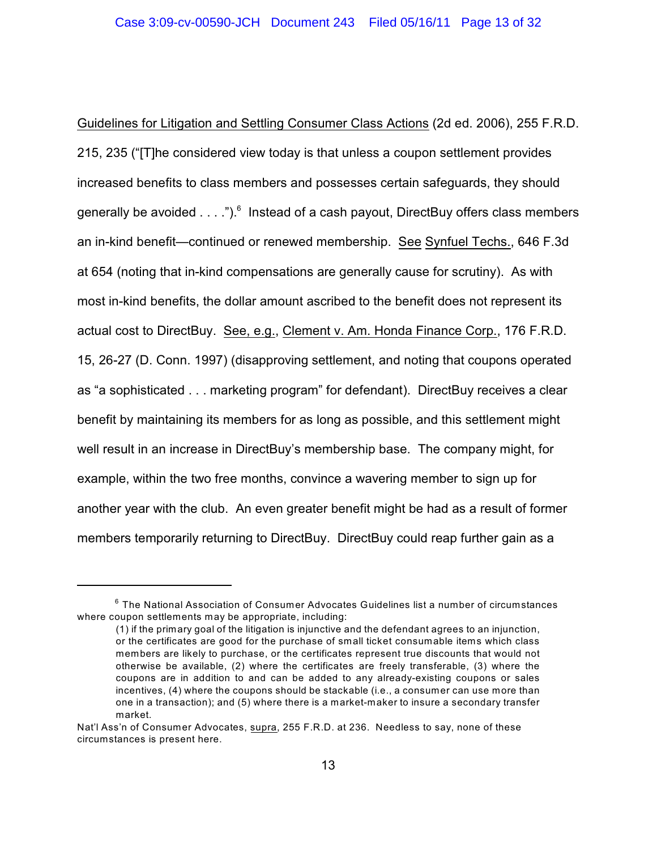Guidelines for Litigation and Settling Consumer Class Actions (2d ed. 2006), 255 F.R.D. 215, 235 ("[T]he considered view today is that unless a coupon settlement provides increased benefits to class members and possesses certain safeguards, they should generally be avoided  $\dots$ ").<sup>6</sup> Instead of a cash payout, DirectBuy offers class members an in-kind benefit—continued or renewed membership. See Synfuel Techs., 646 F.3d at 654 (noting that in-kind compensations are generally cause for scrutiny). As with most in-kind benefits, the dollar amount ascribed to the benefit does not represent its actual cost to DirectBuy. See, e.g., Clement v. Am. Honda Finance Corp., 176 F.R.D. 15, 26-27 (D. Conn. 1997) (disapproving settlement, and noting that coupons operated as "a sophisticated . . . marketing program" for defendant). DirectBuy receives a clear benefit by maintaining its members for as long as possible, and this settlement might well result in an increase in DirectBuy's membership base. The company might, for example, within the two free months, convince a wavering member to sign up for another year with the club. An even greater benefit might be had as a result of former members temporarily returning to DirectBuy. DirectBuy could reap further gain as a

 $^6$  The National Association of Consumer Advocates Guidelines list a number of circumstances where coupon settlements may be appropriate, including:

<sup>(1)</sup> if the primary goal of the litigation is injunctive and the defendant agrees to an injunction, or the certificates are good for the purchase of small ticket consumable items which class members are likely to purchase, or the certificates represent true discounts that would not otherwise be available, (2) where the certificates are freely transferable, (3) where the coupons are in addition to and can be added to any already-existing coupons or sales incentives, (4) where the coupons should be stackable (i.e., a consumer can use more than one in a transaction); and (5) where there is a market-maker to insure a secondary transfer market.

Nat'l Ass'n of Consumer Advocates, supra, 255 F.R.D. at 236. Needless to say, none of these circumstances is present here.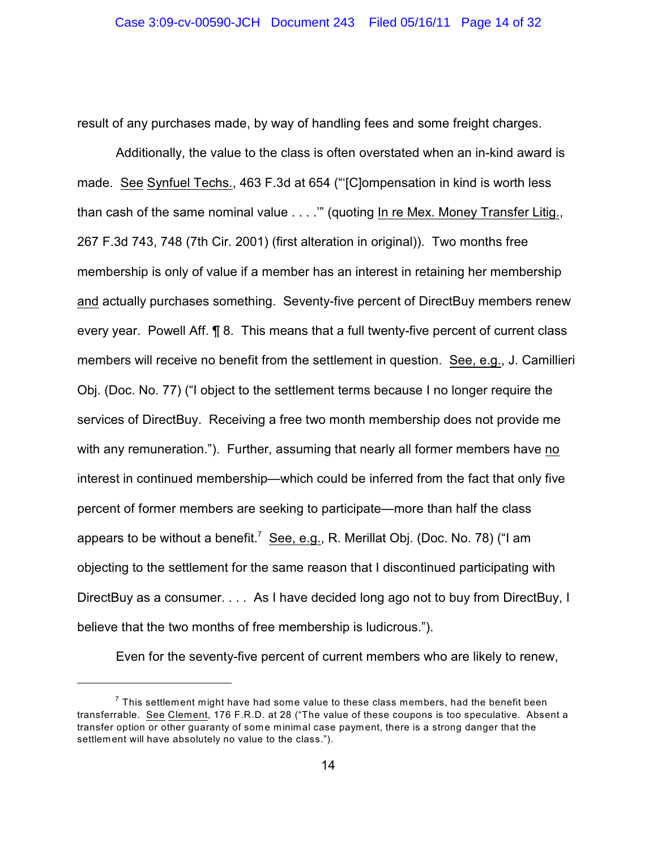result of any purchases made, by way of handling fees and some freight charges.

Additionally, the value to the class is often overstated when an in-kind award is made. See Synfuel Techs., 463 F.3d at 654 ("'[C]ompensation in kind is worth less than cash of the same nominal value . . . .'" (quoting In re Mex. Money Transfer Litig., 267 F.3d 743, 748 (7th Cir. 2001) (first alteration in original)). Two months free membership is only of value if a member has an interest in retaining her membership and actually purchases something. Seventy-five percent of DirectBuy members renew every year. Powell Aff. ¶ 8. This means that a full twenty-five percent of current class members will receive no benefit from the settlement in question. See, e.g., J. Camillieri Obj. (Doc. No. 77) ("I object to the settlement terms because I no longer require the services of DirectBuy. Receiving a free two month membership does not provide me with any remuneration."). Further, assuming that nearly all former members have no interest in continued membership—which could be inferred from the fact that only five percent of former members are seeking to participate—more than half the class appears to be without a benefit.<sup>7</sup> See, e.g., R. Merillat Obj. (Doc. No. 78) ("I am objecting to the settlement for the same reason that I discontinued participating with DirectBuy as a consumer. . . . As I have decided long ago not to buy from DirectBuy, I believe that the two months of free membership is ludicrous.").

Even for the seventy-five percent of current members who are likely to renew,

 $^7$  This settlement might have had some value to these class members, had the benefit been transferrable. See Clement, 176 F.R.D. at 28 ("The value of these coupons is too speculative. Absent a transfer option or other guaranty of some minimal case payment, there is a strong danger that the settlement will have absolutely no value to the class.").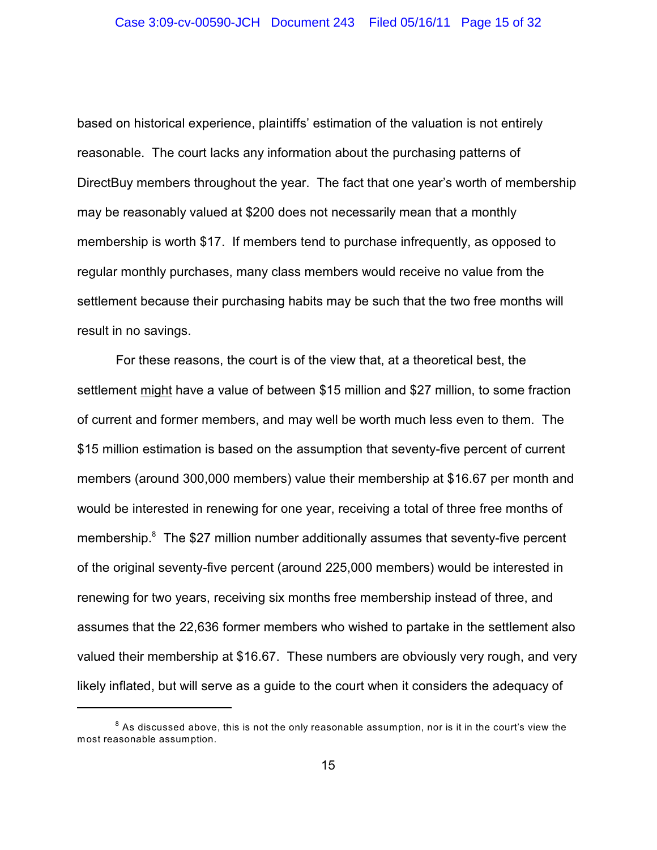based on historical experience, plaintiffs' estimation of the valuation is not entirely reasonable. The court lacks any information about the purchasing patterns of DirectBuy members throughout the year. The fact that one year's worth of membership may be reasonably valued at \$200 does not necessarily mean that a monthly membership is worth \$17. If members tend to purchase infrequently, as opposed to regular monthly purchases, many class members would receive no value from the settlement because their purchasing habits may be such that the two free months will result in no savings.

For these reasons, the court is of the view that, at a theoretical best, the settlement might have a value of between \$15 million and \$27 million, to some fraction of current and former members, and may well be worth much less even to them. The \$15 million estimation is based on the assumption that seventy-five percent of current members (around 300,000 members) value their membership at \$16.67 per month and would be interested in renewing for one year, receiving a total of three free months of membership. $8$  The \$27 million number additionally assumes that seventy-five percent of the original seventy-five percent (around 225,000 members) would be interested in renewing for two years, receiving six months free membership instead of three, and assumes that the 22,636 former members who wished to partake in the settlement also valued their membership at \$16.67. These numbers are obviously very rough, and very likely inflated, but will serve as a guide to the court when it considers the adequacy of

 $^{\text{8}}$  As discussed above, this is not the only reasonable assumption, nor is it in the court's view the most reasonable assumption.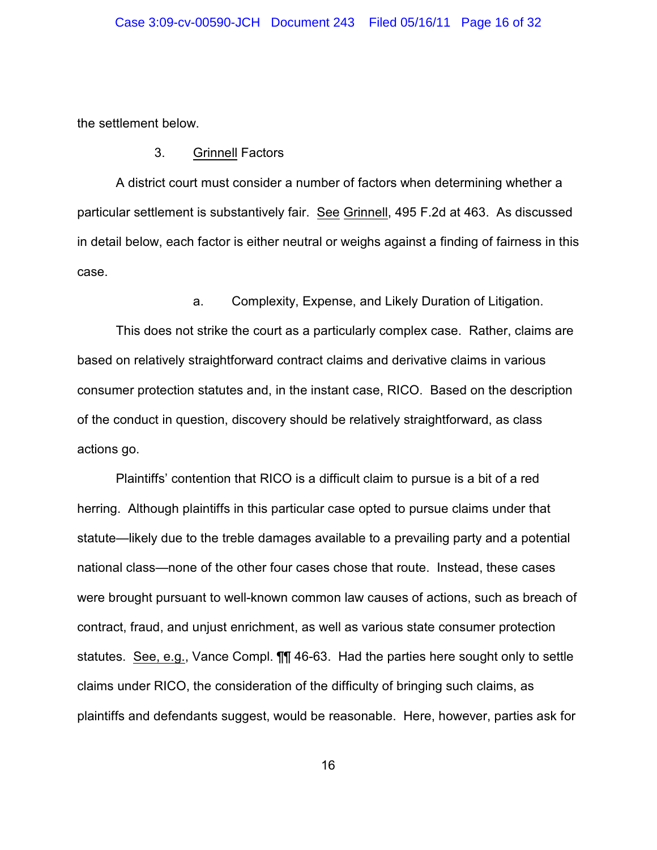the settlement below.

3. Grinnell Factors

A district court must consider a number of factors when determining whether a particular settlement is substantively fair. See Grinnell, 495 F.2d at 463. As discussed in detail below, each factor is either neutral or weighs against a finding of fairness in this case.

a. Complexity, Expense, and Likely Duration of Litigation.

This does not strike the court as a particularly complex case. Rather, claims are based on relatively straightforward contract claims and derivative claims in various consumer protection statutes and, in the instant case, RICO. Based on the description of the conduct in question, discovery should be relatively straightforward, as class actions go.

Plaintiffs' contention that RICO is a difficult claim to pursue is a bit of a red herring. Although plaintiffs in this particular case opted to pursue claims under that statute—likely due to the treble damages available to a prevailing party and a potential national class—none of the other four cases chose that route. Instead, these cases were brought pursuant to well-known common law causes of actions, such as breach of contract, fraud, and unjust enrichment, as well as various state consumer protection statutes. See, e.g., Vance Compl. ¶¶ 46-63. Had the parties here sought only to settle claims under RICO, the consideration of the difficulty of bringing such claims, as plaintiffs and defendants suggest, would be reasonable. Here, however, parties ask for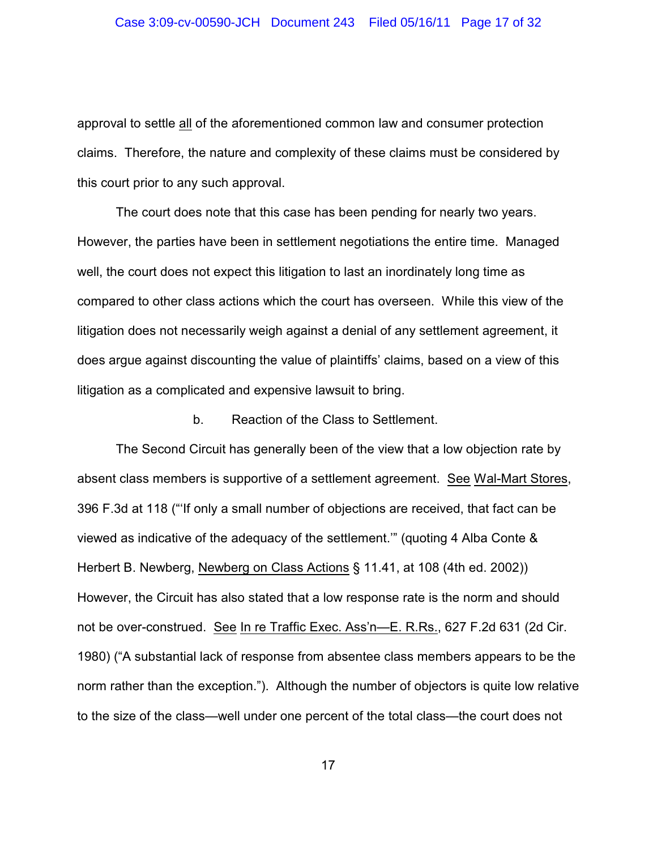approval to settle all of the aforementioned common law and consumer protection claims. Therefore, the nature and complexity of these claims must be considered by this court prior to any such approval.

The court does note that this case has been pending for nearly two years. However, the parties have been in settlement negotiations the entire time. Managed well, the court does not expect this litigation to last an inordinately long time as compared to other class actions which the court has overseen. While this view of the litigation does not necessarily weigh against a denial of any settlement agreement, it does argue against discounting the value of plaintiffs' claims, based on a view of this litigation as a complicated and expensive lawsuit to bring.

#### b. Reaction of the Class to Settlement.

The Second Circuit has generally been of the view that a low objection rate by absent class members is supportive of a settlement agreement. See Wal-Mart Stores, 396 F.3d at 118 ("'If only a small number of objections are received, that fact can be viewed as indicative of the adequacy of the settlement.'" (quoting 4 Alba Conte & Herbert B. Newberg, Newberg on Class Actions § 11.41, at 108 (4th ed. 2002)) However, the Circuit has also stated that a low response rate is the norm and should not be over-construed. See In re Traffic Exec. Ass'n—E. R.Rs., 627 F.2d 631 (2d Cir. 1980) ("A substantial lack of response from absentee class members appears to be the norm rather than the exception."). Although the number of objectors is quite low relative to the size of the class—well under one percent of the total class—the court does not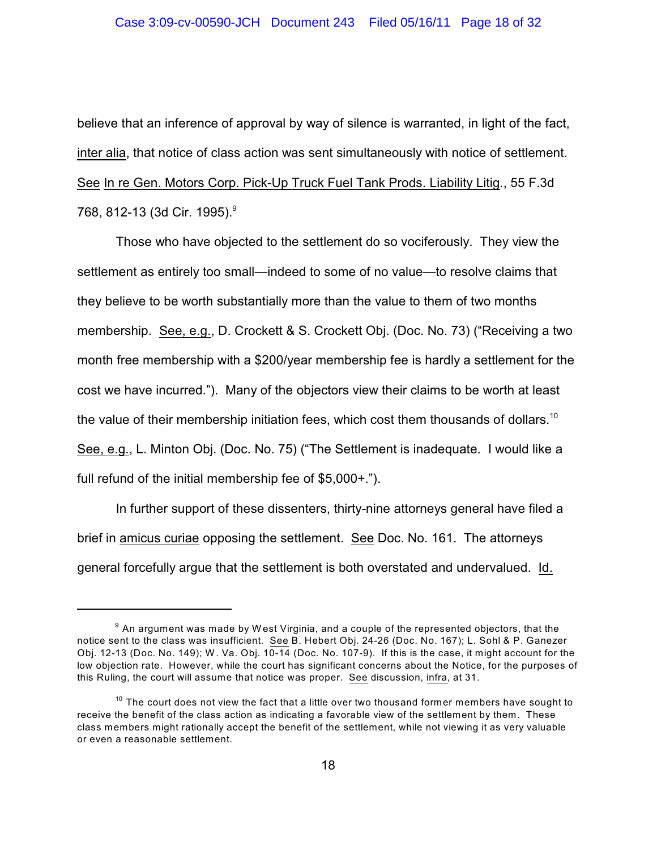believe that an inference of approval by way of silence is warranted, in light of the fact, inter alia, that notice of class action was sent simultaneously with notice of settlement. See In re Gen. Motors Corp. Pick-Up Truck Fuel Tank Prods. Liability Litig., 55 F.3d 768, 812-13 (3d Cir. 1995).<sup>9</sup>

Those who have objected to the settlement do so vociferously. They view the settlement as entirely too small—indeed to some of no value—to resolve claims that they believe to be worth substantially more than the value to them of two months membership. See, e.g., D. Crockett & S. Crockett Obj. (Doc. No. 73) ("Receiving a two month free membership with a \$200/year membership fee is hardly a settlement for the cost we have incurred."). Many of the objectors view their claims to be worth at least the value of their membership initiation fees, which cost them thousands of dollars.<sup>10</sup> See, e.g., L. Minton Obj. (Doc. No. 75) ("The Settlement is inadequate. I would like a full refund of the initial membership fee of \$5,000+.").

In further support of these dissenters, thirty-nine attorneys general have filed a brief in amicus curiae opposing the settlement. See Doc. No. 161. The attorneys general forcefully argue that the settlement is both overstated and undervalued. Id.

 $^9$  An argument was made by West Virginia, and a couple of the represented objectors, that the notice sent to the class was insufficient. See B. Hebert Obj. 24-26 (Doc. No. 167); L. Sohl & P. Ganezer Obj. 12-13 (Doc. No. 149); W . Va. Obj. 10-14 (Doc. No. 107-9). If this is the case, it might account for the low objection rate. However, while the court has significant concerns about the Notice, for the purposes of this Ruling, the court will assume that notice was proper. See discussion, infra, at 31.

 $^{\text{10}}$  The court does not view the fact that a little over two thousand former members have sought to receive the benefit of the class action as indicating a favorable view of the settlement by them. These class members might rationally accept the benefit of the settlement, while not viewing it as very valuable or even a reasonable settlement.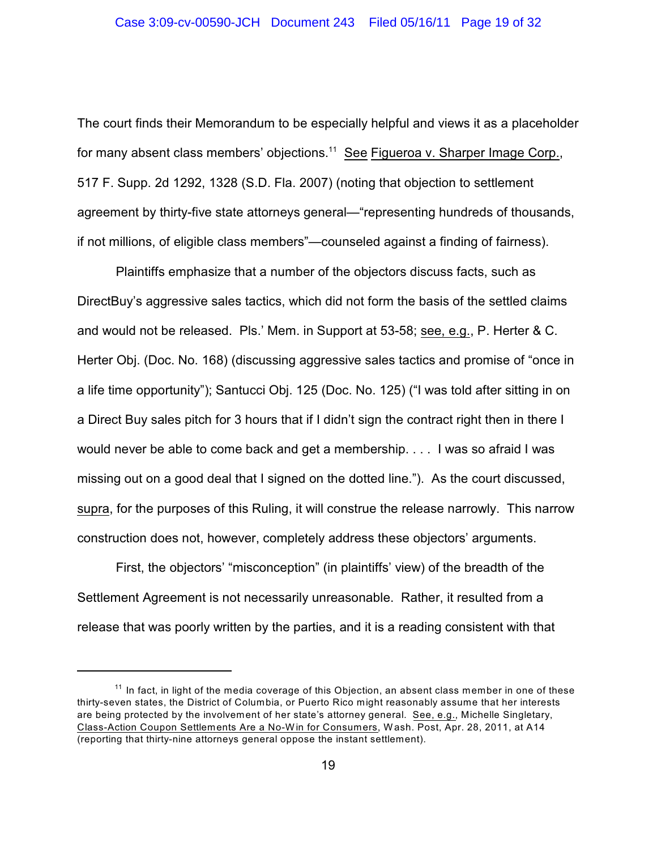The court finds their Memorandum to be especially helpful and views it as a placeholder for many absent class members' objections. $11$  See Figueroa v. Sharper Image Corp., 517 F. Supp. 2d 1292, 1328 (S.D. Fla. 2007) (noting that objection to settlement agreement by thirty-five state attorneys general—"representing hundreds of thousands, if not millions, of eligible class members"—counseled against a finding of fairness).

Plaintiffs emphasize that a number of the objectors discuss facts, such as DirectBuy's aggressive sales tactics, which did not form the basis of the settled claims and would not be released. Pls.' Mem. in Support at 53-58; see, e.g., P. Herter & C. Herter Obj. (Doc. No. 168) (discussing aggressive sales tactics and promise of "once in a life time opportunity"); Santucci Obj. 125 (Doc. No. 125) ("I was told after sitting in on a Direct Buy sales pitch for 3 hours that if I didn't sign the contract right then in there I would never be able to come back and get a membership. . . . I was so afraid I was missing out on a good deal that I signed on the dotted line."). As the court discussed, supra, for the purposes of this Ruling, it will construe the release narrowly. This narrow construction does not, however, completely address these objectors' arguments.

First, the objectors' "misconception" (in plaintiffs' view) of the breadth of the Settlement Agreement is not necessarily unreasonable. Rather, it resulted from a release that was poorly written by the parties, and it is a reading consistent with that

 $11$  In fact, in light of the media coverage of this Objection, an absent class member in one of these thirty-seven states, the District of Columbia, or Puerto Rico might reasonably assume that her interests are being protected by the involvement of her state's attorney general. See, e.g., Michelle Singletary, Class-Action Coupon Settlements Are a No-W in for Consumers, W ash. Post, Apr. 28, 2011, at A14 (reporting that thirty-nine attorneys general oppose the instant settlement).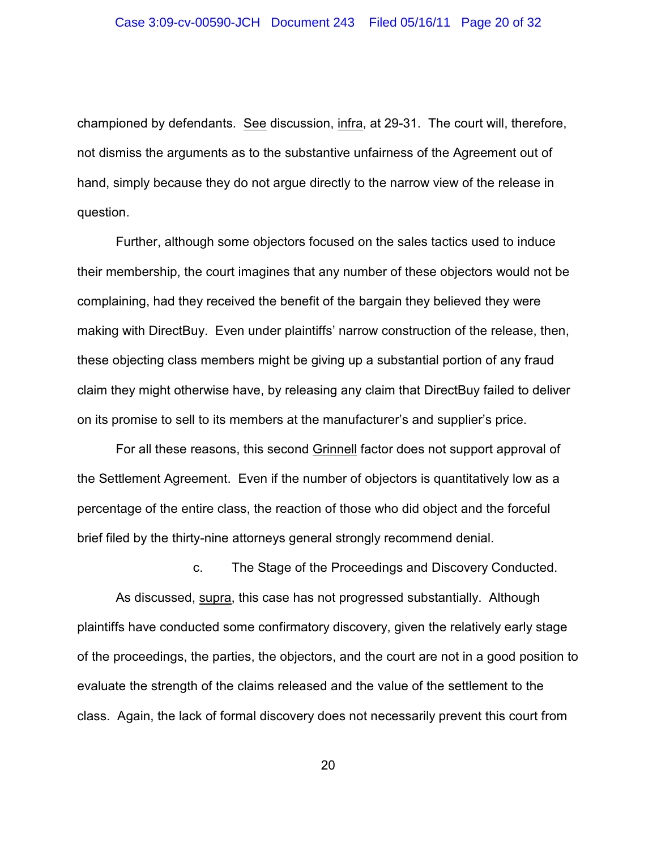championed by defendants. See discussion, infra, at 29-31. The court will, therefore, not dismiss the arguments as to the substantive unfairness of the Agreement out of hand, simply because they do not argue directly to the narrow view of the release in question.

Further, although some objectors focused on the sales tactics used to induce their membership, the court imagines that any number of these objectors would not be complaining, had they received the benefit of the bargain they believed they were making with DirectBuy. Even under plaintiffs' narrow construction of the release, then, these objecting class members might be giving up a substantial portion of any fraud claim they might otherwise have, by releasing any claim that DirectBuy failed to deliver on its promise to sell to its members at the manufacturer's and supplier's price.

For all these reasons, this second Grinnell factor does not support approval of the Settlement Agreement. Even if the number of objectors is quantitatively low as a percentage of the entire class, the reaction of those who did object and the forceful brief filed by the thirty-nine attorneys general strongly recommend denial.

c. The Stage of the Proceedings and Discovery Conducted.

As discussed, supra, this case has not progressed substantially. Although plaintiffs have conducted some confirmatory discovery, given the relatively early stage of the proceedings, the parties, the objectors, and the court are not in a good position to evaluate the strength of the claims released and the value of the settlement to the class. Again, the lack of formal discovery does not necessarily prevent this court from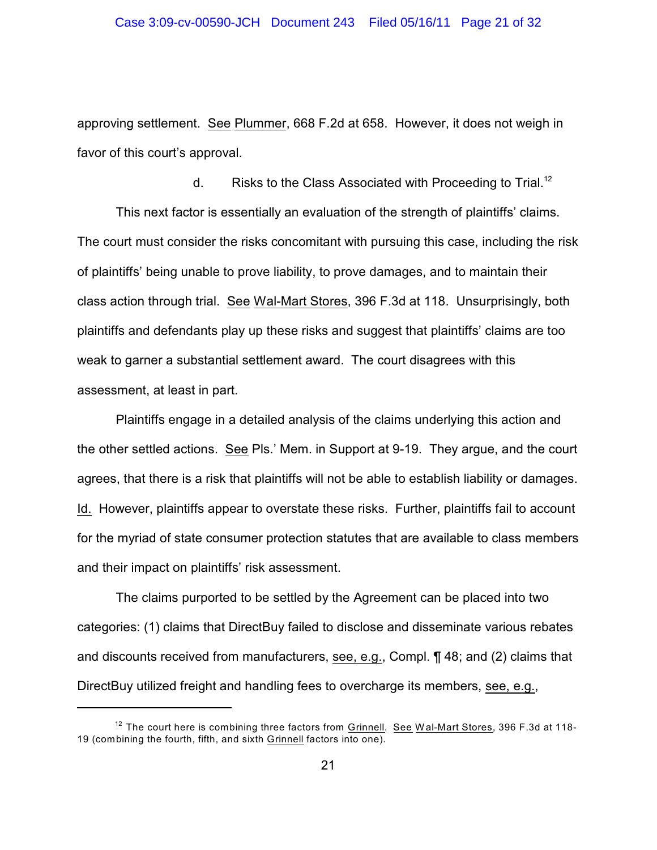approving settlement. See Plummer, 668 F.2d at 658. However, it does not weigh in favor of this court's approval.

d. Risks to the Class Associated with Proceeding to Trial.<sup>12</sup> This next factor is essentially an evaluation of the strength of plaintiffs' claims. The court must consider the risks concomitant with pursuing this case, including the risk of plaintiffs' being unable to prove liability, to prove damages, and to maintain their class action through trial. See Wal-Mart Stores, 396 F.3d at 118. Unsurprisingly, both plaintiffs and defendants play up these risks and suggest that plaintiffs' claims are too weak to garner a substantial settlement award. The court disagrees with this assessment, at least in part.

Plaintiffs engage in a detailed analysis of the claims underlying this action and the other settled actions. See Pls.' Mem. in Support at 9-19. They argue, and the court agrees, that there is a risk that plaintiffs will not be able to establish liability or damages. Id. However, plaintiffs appear to overstate these risks. Further, plaintiffs fail to account for the myriad of state consumer protection statutes that are available to class members and their impact on plaintiffs' risk assessment.

The claims purported to be settled by the Agreement can be placed into two categories: (1) claims that DirectBuy failed to disclose and disseminate various rebates and discounts received from manufacturers, see, e.g., Compl. ¶ 48; and (2) claims that DirectBuy utilized freight and handling fees to overcharge its members, see, e.g.,

 $12$  The court here is combining three factors from Grinnell. See Wal-Mart Stores, 396 F.3d at 118-19 (combining the fourth, fifth, and sixth Grinnell factors into one).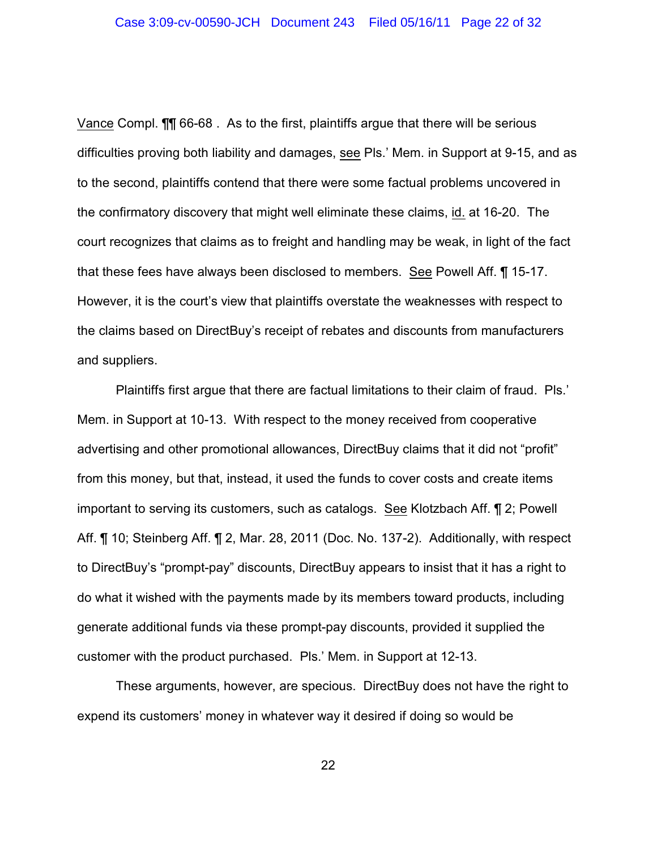Vance Compl. ¶¶ 66-68 . As to the first, plaintiffs argue that there will be serious difficulties proving both liability and damages, see Pls.' Mem. in Support at 9-15, and as to the second, plaintiffs contend that there were some factual problems uncovered in the confirmatory discovery that might well eliminate these claims, id. at 16-20. The court recognizes that claims as to freight and handling may be weak, in light of the fact that these fees have always been disclosed to members. See Powell Aff. ¶ 15-17. However, it is the court's view that plaintiffs overstate the weaknesses with respect to the claims based on DirectBuy's receipt of rebates and discounts from manufacturers and suppliers.

Plaintiffs first argue that there are factual limitations to their claim of fraud. Pls.' Mem. in Support at 10-13. With respect to the money received from cooperative advertising and other promotional allowances, DirectBuy claims that it did not "profit" from this money, but that, instead, it used the funds to cover costs and create items important to serving its customers, such as catalogs. See Klotzbach Aff. ¶ 2; Powell Aff. ¶ 10; Steinberg Aff. ¶ 2, Mar. 28, 2011 (Doc. No. 137-2). Additionally, with respect to DirectBuy's "prompt-pay" discounts, DirectBuy appears to insist that it has a right to do what it wished with the payments made by its members toward products, including generate additional funds via these prompt-pay discounts, provided it supplied the customer with the product purchased. Pls.' Mem. in Support at 12-13.

These arguments, however, are specious. DirectBuy does not have the right to expend its customers' money in whatever way it desired if doing so would be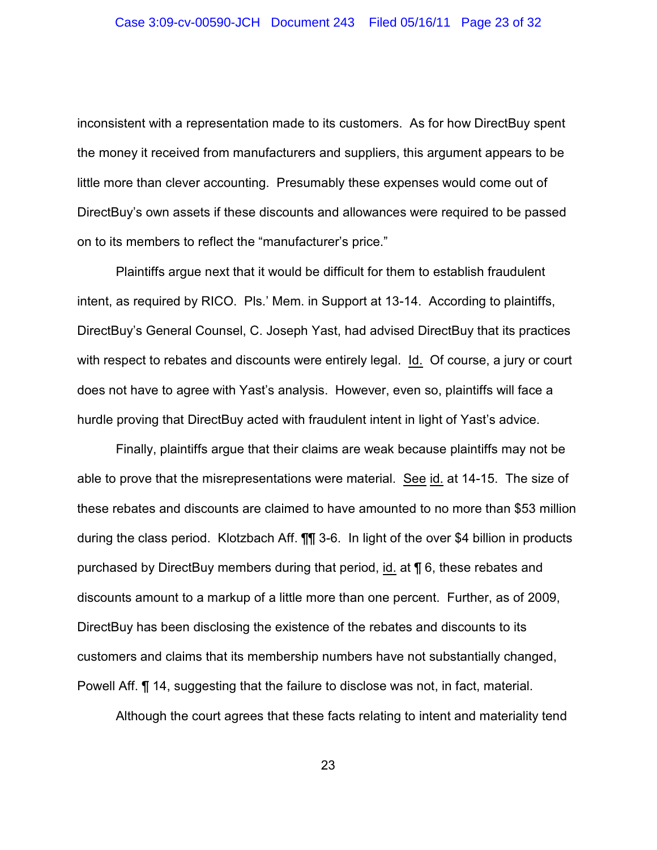inconsistent with a representation made to its customers. As for how DirectBuy spent the money it received from manufacturers and suppliers, this argument appears to be little more than clever accounting. Presumably these expenses would come out of DirectBuy's own assets if these discounts and allowances were required to be passed on to its members to reflect the "manufacturer's price."

Plaintiffs argue next that it would be difficult for them to establish fraudulent intent, as required by RICO. Pls.' Mem. in Support at 13-14. According to plaintiffs, DirectBuy's General Counsel, C. Joseph Yast, had advised DirectBuy that its practices with respect to rebates and discounts were entirely legal. Id. Of course, a jury or court does not have to agree with Yast's analysis. However, even so, plaintiffs will face a hurdle proving that DirectBuy acted with fraudulent intent in light of Yast's advice.

Finally, plaintiffs argue that their claims are weak because plaintiffs may not be able to prove that the misrepresentations were material. See id. at 14-15. The size of these rebates and discounts are claimed to have amounted to no more than \$53 million during the class period. Klotzbach Aff. ¶¶ 3-6. In light of the over \$4 billion in products purchased by DirectBuy members during that period, id. at ¶ 6, these rebates and discounts amount to a markup of a little more than one percent. Further, as of 2009, DirectBuy has been disclosing the existence of the rebates and discounts to its customers and claims that its membership numbers have not substantially changed, Powell Aff. ¶ 14, suggesting that the failure to disclose was not, in fact, material.

Although the court agrees that these facts relating to intent and materiality tend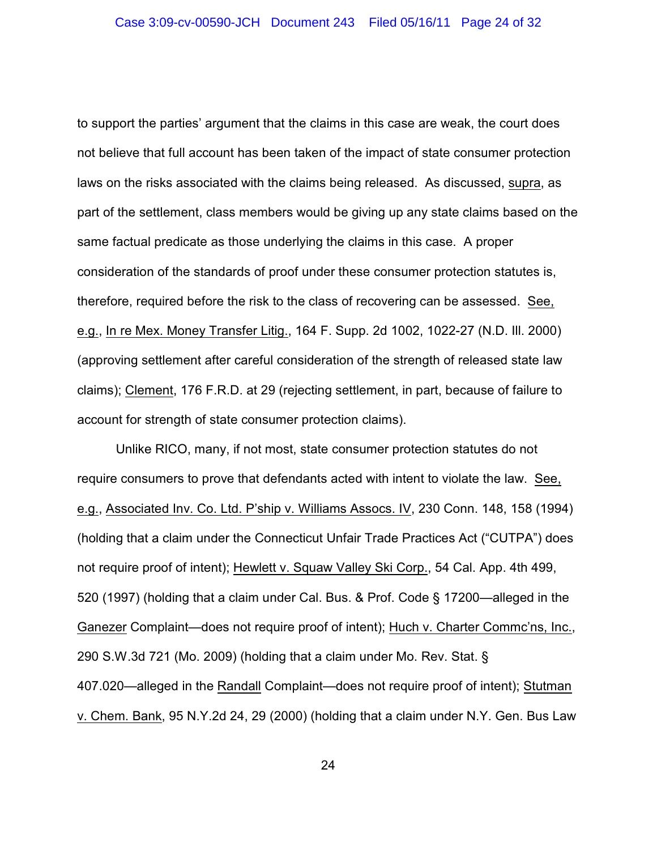to support the parties' argument that the claims in this case are weak, the court does not believe that full account has been taken of the impact of state consumer protection laws on the risks associated with the claims being released. As discussed, supra, as part of the settlement, class members would be giving up any state claims based on the same factual predicate as those underlying the claims in this case. A proper consideration of the standards of proof under these consumer protection statutes is, therefore, required before the risk to the class of recovering can be assessed. See, e.g., In re Mex. Money Transfer Litig., 164 F. Supp. 2d 1002, 1022-27 (N.D. Ill. 2000) (approving settlement after careful consideration of the strength of released state law claims); Clement, 176 F.R.D. at 29 (rejecting settlement, in part, because of failure to account for strength of state consumer protection claims).

Unlike RICO, many, if not most, state consumer protection statutes do not require consumers to prove that defendants acted with intent to violate the law. See, e.g., Associated Inv. Co. Ltd. P'ship v. Williams Assocs. IV, 230 Conn. 148, 158 (1994) (holding that a claim under the Connecticut Unfair Trade Practices Act ("CUTPA") does not require proof of intent); Hewlett v. Squaw Valley Ski Corp., 54 Cal. App. 4th 499, 520 (1997) (holding that a claim under Cal. Bus. & Prof. Code § 17200—alleged in the Ganezer Complaint—does not require proof of intent); Huch v. Charter Commc'ns, Inc., 290 S.W.3d 721 (Mo. 2009) (holding that a claim under Mo. Rev. Stat. § 407.020—alleged in the Randall Complaint—does not require proof of intent); Stutman v. Chem. Bank, 95 N.Y.2d 24, 29 (2000) (holding that a claim under N.Y. Gen. Bus Law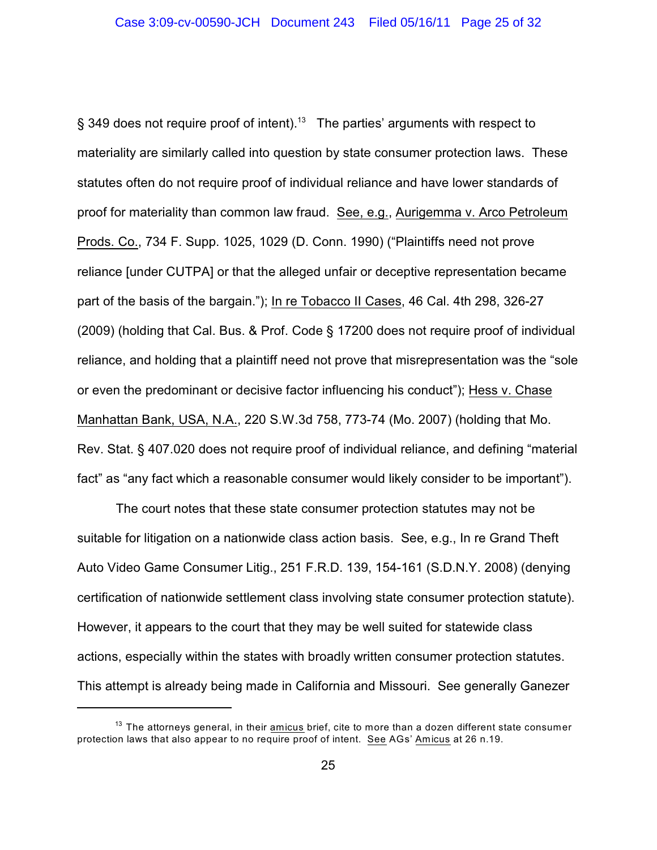§ 349 does not require proof of intent).<sup>13</sup> The parties' arguments with respect to materiality are similarly called into question by state consumer protection laws. These statutes often do not require proof of individual reliance and have lower standards of proof for materiality than common law fraud. See, e.g., Aurigemma v. Arco Petroleum Prods. Co., 734 F. Supp. 1025, 1029 (D. Conn. 1990) ("Plaintiffs need not prove reliance [under CUTPA] or that the alleged unfair or deceptive representation became part of the basis of the bargain."); In re Tobacco II Cases, 46 Cal. 4th 298, 326-27 (2009) (holding that Cal. Bus. & Prof. Code § 17200 does not require proof of individual reliance, and holding that a plaintiff need not prove that misrepresentation was the "sole or even the predominant or decisive factor influencing his conduct"); Hess v. Chase Manhattan Bank, USA, N.A., 220 S.W.3d 758, 773-74 (Mo. 2007) (holding that Mo. Rev. Stat. § 407.020 does not require proof of individual reliance, and defining "material fact" as "any fact which a reasonable consumer would likely consider to be important").

The court notes that these state consumer protection statutes may not be suitable for litigation on a nationwide class action basis. See, e.g., In re Grand Theft Auto Video Game Consumer Litig., 251 F.R.D. 139, 154-161 (S.D.N.Y. 2008) (denying certification of nationwide settlement class involving state consumer protection statute). However, it appears to the court that they may be well suited for statewide class actions, especially within the states with broadly written consumer protection statutes. This attempt is already being made in California and Missouri. See generally Ganezer

 $^{13}$  The attorneys general, in their  $\underline{\text{amicus}}$  brief, cite to more than a dozen different state consumer protection laws that also appear to no require proof of intent. See AGs' Amicus at 26 n.19.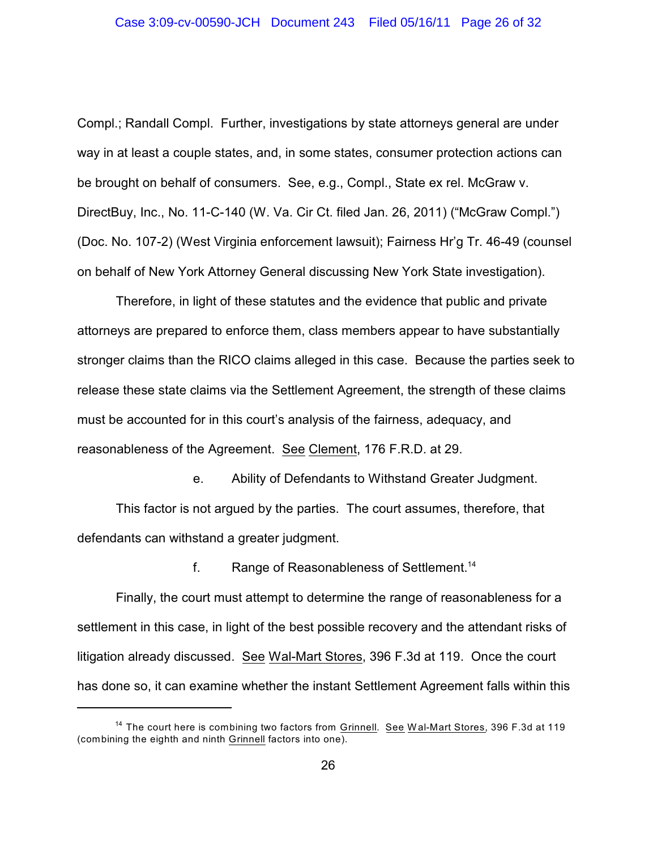Compl.; Randall Compl. Further, investigations by state attorneys general are under way in at least a couple states, and, in some states, consumer protection actions can be brought on behalf of consumers. See, e.g., Compl., State ex rel. McGraw v. DirectBuy, Inc., No. 11-C-140 (W. Va. Cir Ct. filed Jan. 26, 2011) ("McGraw Compl.") (Doc. No. 107-2) (West Virginia enforcement lawsuit); Fairness Hr'g Tr. 46-49 (counsel on behalf of New York Attorney General discussing New York State investigation).

Therefore, in light of these statutes and the evidence that public and private attorneys are prepared to enforce them, class members appear to have substantially stronger claims than the RICO claims alleged in this case. Because the parties seek to release these state claims via the Settlement Agreement, the strength of these claims must be accounted for in this court's analysis of the fairness, adequacy, and reasonableness of the Agreement. See Clement, 176 F.R.D. at 29.

e. Ability of Defendants to Withstand Greater Judgment. This factor is not argued by the parties. The court assumes, therefore, that defendants can withstand a greater judgment.

f. Range of Reasonableness of Settlement.<sup>14</sup>

Finally, the court must attempt to determine the range of reasonableness for a settlement in this case, in light of the best possible recovery and the attendant risks of litigation already discussed. See Wal-Mart Stores, 396 F.3d at 119. Once the court has done so, it can examine whether the instant Settlement Agreement falls within this

<sup>&</sup>lt;sup>14</sup> The court here is combining two factors from <u>Grinnell. See Wal-Mart Stores</u>, 396 F.3d at 119 (combining the eighth and ninth Grinnell factors into one).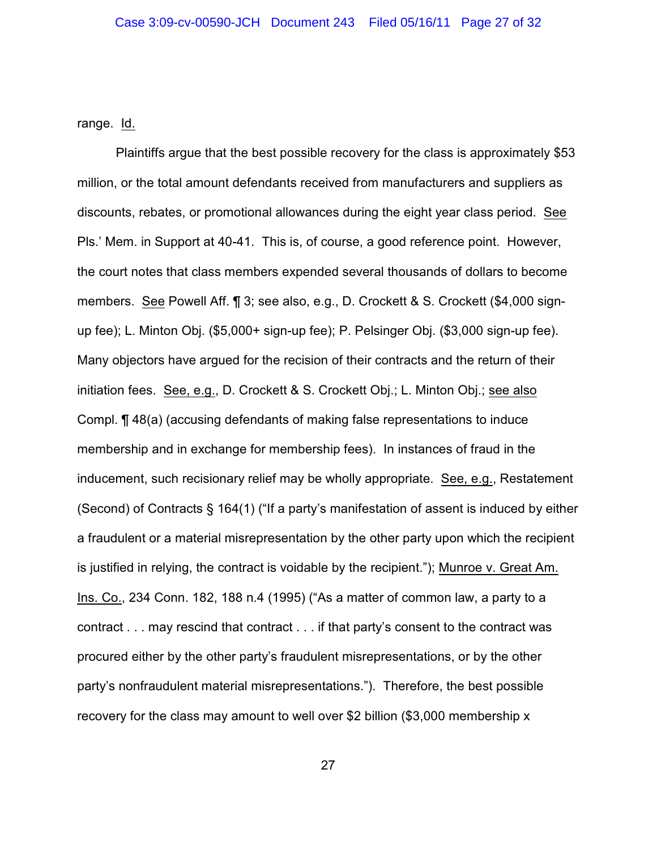range. Id.

Plaintiffs argue that the best possible recovery for the class is approximately \$53 million, or the total amount defendants received from manufacturers and suppliers as discounts, rebates, or promotional allowances during the eight year class period. See Pls.' Mem. in Support at 40-41. This is, of course, a good reference point. However, the court notes that class members expended several thousands of dollars to become members. See Powell Aff. ¶ 3; see also, e.g., D. Crockett & S. Crockett (\$4,000 signup fee); L. Minton Obj. (\$5,000+ sign-up fee); P. Pelsinger Obj. (\$3,000 sign-up fee). Many objectors have argued for the recision of their contracts and the return of their initiation fees. See, e.g., D. Crockett & S. Crockett Obj.; L. Minton Obj.; see also Compl. ¶ 48(a) (accusing defendants of making false representations to induce membership and in exchange for membership fees). In instances of fraud in the inducement, such recisionary relief may be wholly appropriate. See, e.g., Restatement (Second) of Contracts § 164(1) ("If a party's manifestation of assent is induced by either a fraudulent or a material misrepresentation by the other party upon which the recipient is justified in relying, the contract is voidable by the recipient."); Munroe v. Great Am. Ins. Co., 234 Conn. 182, 188 n.4 (1995) ("As a matter of common law, a party to a contract . . . may rescind that contract . . . if that party's consent to the contract was procured either by the other party's fraudulent misrepresentations, or by the other party's nonfraudulent material misrepresentations."). Therefore, the best possible recovery for the class may amount to well over \$2 billion (\$3,000 membership x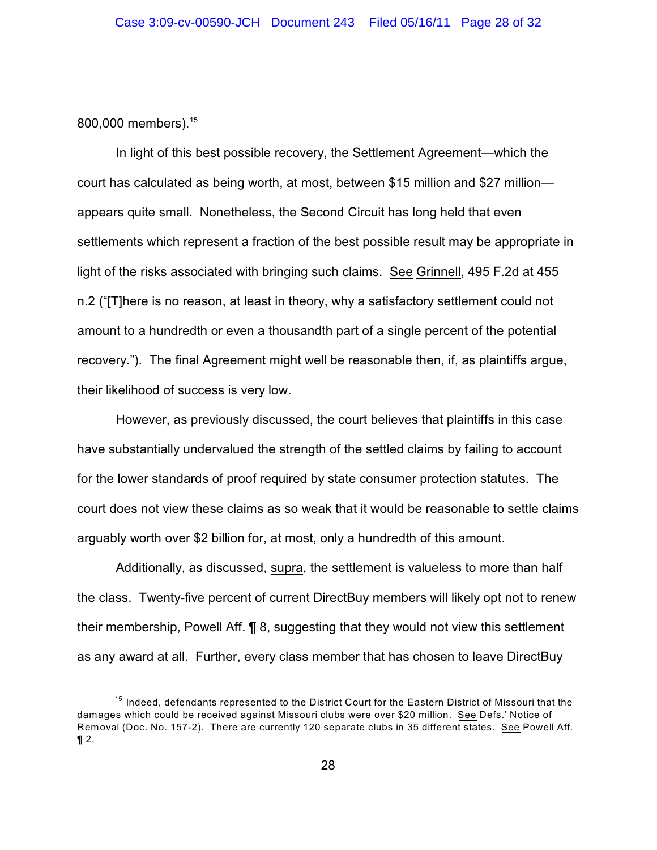800,000 members).<sup>15</sup>

In light of this best possible recovery, the Settlement Agreement—which the court has calculated as being worth, at most, between \$15 million and \$27 million appears quite small. Nonetheless, the Second Circuit has long held that even settlements which represent a fraction of the best possible result may be appropriate in light of the risks associated with bringing such claims. See Grinnell, 495 F.2d at 455 n.2 ("[T]here is no reason, at least in theory, why a satisfactory settlement could not amount to a hundredth or even a thousandth part of a single percent of the potential recovery."). The final Agreement might well be reasonable then, if, as plaintiffs argue, their likelihood of success is very low.

However, as previously discussed, the court believes that plaintiffs in this case have substantially undervalued the strength of the settled claims by failing to account for the lower standards of proof required by state consumer protection statutes. The court does not view these claims as so weak that it would be reasonable to settle claims arguably worth over \$2 billion for, at most, only a hundredth of this amount.

Additionally, as discussed, supra, the settlement is valueless to more than half the class. Twenty-five percent of current DirectBuy members will likely opt not to renew their membership, Powell Aff. ¶ 8, suggesting that they would not view this settlement as any award at all. Further, every class member that has chosen to leave DirectBuy

 $15$  Indeed, defendants represented to the District Court for the Eastern District of Missouri that the damages which could be received against Missouri clubs were over \$20 million. See Defs.' Notice of Removal (Doc. No. 157-2). There are currently 120 separate clubs in 35 different states. See Powell Aff.  $\P 2$ .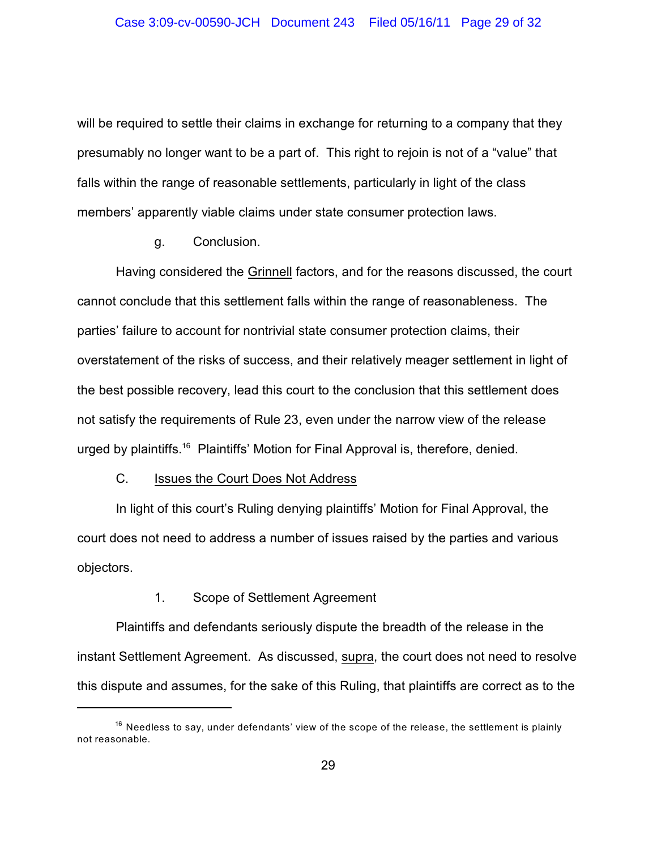will be required to settle their claims in exchange for returning to a company that they presumably no longer want to be a part of. This right to rejoin is not of a "value" that falls within the range of reasonable settlements, particularly in light of the class members' apparently viable claims under state consumer protection laws.

#### g. Conclusion.

Having considered the Grinnell factors, and for the reasons discussed, the court cannot conclude that this settlement falls within the range of reasonableness. The parties' failure to account for nontrivial state consumer protection claims, their overstatement of the risks of success, and their relatively meager settlement in light of the best possible recovery, lead this court to the conclusion that this settlement does not satisfy the requirements of Rule 23, even under the narrow view of the release urged by plaintiffs.<sup>16</sup> Plaintiffs' Motion for Final Approval is, therefore, denied.

### C. Issues the Court Does Not Address

In light of this court's Ruling denying plaintiffs' Motion for Final Approval, the court does not need to address a number of issues raised by the parties and various objectors.

## 1. Scope of Settlement Agreement

Plaintiffs and defendants seriously dispute the breadth of the release in the instant Settlement Agreement. As discussed, supra, the court does not need to resolve this dispute and assumes, for the sake of this Ruling, that plaintiffs are correct as to the

 $16$  Needless to say, under defendants' view of the scope of the release, the settlement is plainly not reasonable.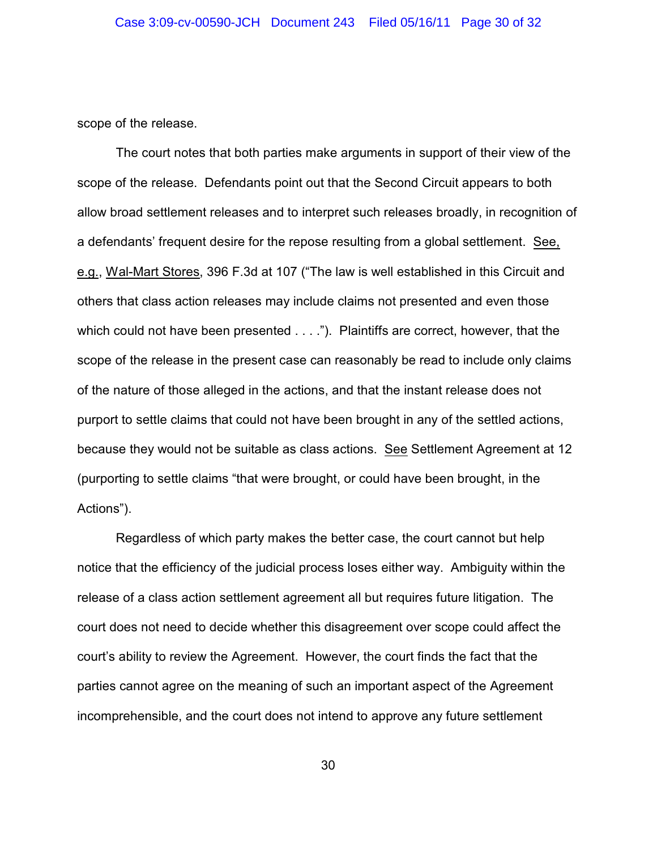scope of the release.

The court notes that both parties make arguments in support of their view of the scope of the release. Defendants point out that the Second Circuit appears to both allow broad settlement releases and to interpret such releases broadly, in recognition of a defendants' frequent desire for the repose resulting from a global settlement. See, e.g., Wal-Mart Stores, 396 F.3d at 107 ("The law is well established in this Circuit and others that class action releases may include claims not presented and even those which could not have been presented . . . ."). Plaintiffs are correct, however, that the scope of the release in the present case can reasonably be read to include only claims of the nature of those alleged in the actions, and that the instant release does not purport to settle claims that could not have been brought in any of the settled actions, because they would not be suitable as class actions. See Settlement Agreement at 12 (purporting to settle claims "that were brought, or could have been brought, in the Actions").

Regardless of which party makes the better case, the court cannot but help notice that the efficiency of the judicial process loses either way. Ambiguity within the release of a class action settlement agreement all but requires future litigation. The court does not need to decide whether this disagreement over scope could affect the court's ability to review the Agreement. However, the court finds the fact that the parties cannot agree on the meaning of such an important aspect of the Agreement incomprehensible, and the court does not intend to approve any future settlement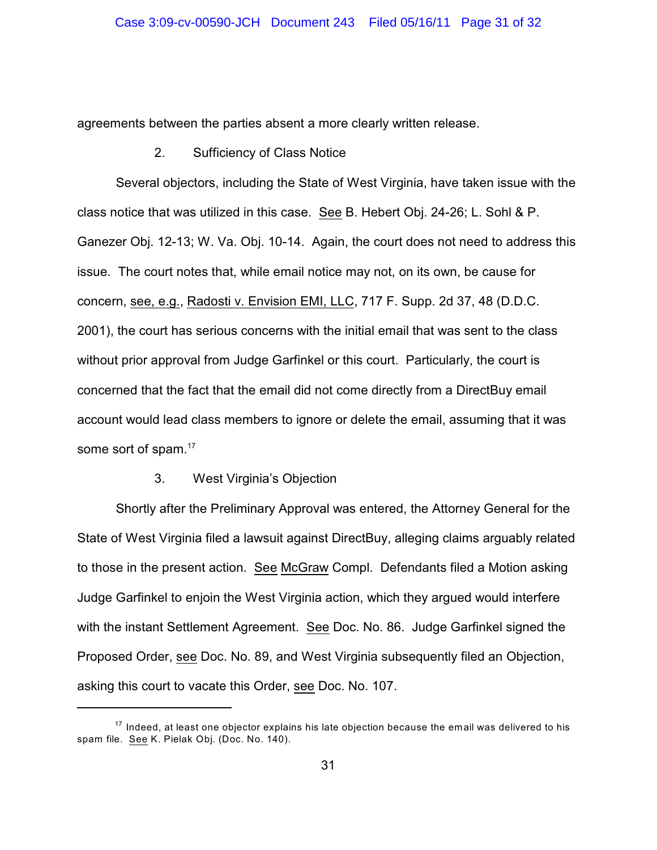agreements between the parties absent a more clearly written release.

2. Sufficiency of Class Notice

Several objectors, including the State of West Virginia, have taken issue with the class notice that was utilized in this case. See B. Hebert Obj. 24-26; L. Sohl & P. Ganezer Obj. 12-13; W. Va. Obj. 10-14. Again, the court does not need to address this issue. The court notes that, while email notice may not, on its own, be cause for concern, see, e.g., Radosti v. Envision EMI, LLC, 717 F. Supp. 2d 37, 48 (D.D.C. 2001), the court has serious concerns with the initial email that was sent to the class without prior approval from Judge Garfinkel or this court. Particularly, the court is concerned that the fact that the email did not come directly from a DirectBuy email account would lead class members to ignore or delete the email, assuming that it was some sort of spam.<sup>17</sup>

## 3. West Virginia's Objection

Shortly after the Preliminary Approval was entered, the Attorney General for the State of West Virginia filed a lawsuit against DirectBuy, alleging claims arguably related to those in the present action. See McGraw Compl. Defendants filed a Motion asking Judge Garfinkel to enjoin the West Virginia action, which they argued would interfere with the instant Settlement Agreement. See Doc. No. 86. Judge Garfinkel signed the Proposed Order, see Doc. No. 89, and West Virginia subsequently filed an Objection, asking this court to vacate this Order, see Doc. No. 107.

 $17$  Indeed, at least one objector explains his late objection because the email was delivered to his spam file. See K. Pielak Obj. (Doc. No. 140).